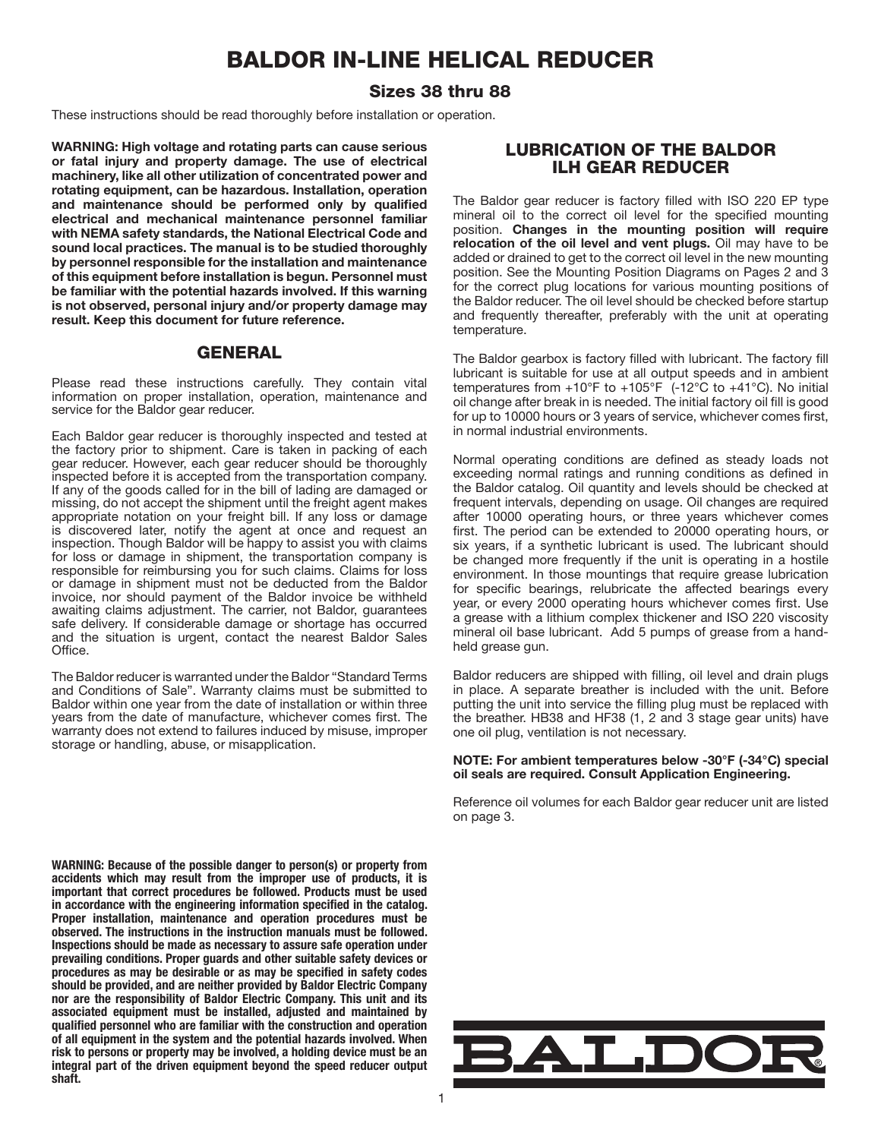# BALDOR IN-LINE HELICAL REDUCER

### Sizes 38 thru 88

These instructions should be read thoroughly before installation or operation.

WARNING: High voltage and rotating parts can cause serious or fatal injury and property damage. The use of electrical machinery, like all other utilization of concentrated power and rotating equipment, can be hazardous. Installation, operation and maintenance should be performed only by qualified electrical and mechanical maintenance personnel familiar with NEMA safety standards, the National Electrical Code and sound local practices. The manual is to be studied thoroughly by personnel responsible for the installation and maintenance of this equipment before installation is begun. Personnel must be familiar with the potential hazards involved. If this warning is not observed, personal injury and/or property damage may result. Keep this document for future reference.

### **GENERAL**

Please read these instructions carefully. They contain vital information on proper installation, operation, maintenance and service for the Baldor gear reducer.

Each Baldor gear reducer is thoroughly inspected and tested at the factory prior to shipment. Care is taken in packing of each gear reducer. However, each gear reducer should be thoroughly inspected before it is accepted from the transportation company. If any of the goods called for in the bill of lading are damaged or missing, do not accept the shipment until the freight agent makes appropriate notation on your freight bill. If any loss or damage is discovered later, notify the agent at once and request an inspection. Though Baldor will be happy to assist you with claims for loss or damage in shipment, the transportation company is responsible for reimbursing you for such claims. Claims for loss or damage in shipment must not be deducted from the Baldor invoice, nor should payment of the Baldor invoice be withheld awaiting claims adjustment. The carrier, not Baldor, guarantees safe delivery. If considerable damage or shortage has occurred and the situation is urgent, contact the nearest Baldor Sales **Office** 

The Baldor reducer is warranted under the Baldor "Standard Terms and Conditions of Sale". Warranty claims must be submitted to Baldor within one year from the date of installation or within three years from the date of manufacture, whichever comes first. The warranty does not extend to failures induced by misuse, improper storage or handling, abuse, or misapplication.

WARNING: Because of the possible danger to person(s) or property from accidents which may result from the improper use of products, it is important that correct procedures be followed. Products must be used in accordance with the engineering information specified in the catalog. Proper installation, maintenance and operation procedures must be observed. The instructions in the instruction manuals must be followed. Inspections should be made as necessary to assure safe operation under prevailing conditions. Proper guards and other suitable safety devices or procedures as may be desirable or as may be specified in safety codes should be provided, and are neither provided by Baldor Electric Company nor are the responsibility of Baldor Electric Company. This unit and its associated equipment must be installed, adjusted and maintained by qualified personnel who are familiar with the construction and operation of all equipment in the system and the potential hazards involved. When risk to persons or property may be involved, a holding device must be an integral part of the driven equipment beyond the speed reducer output shaft.

# LUBRICATION OF THE BALDOR ILH GEAR REDUCER

The Baldor gear reducer is factory filled with ISO 220 EP type mineral oil to the correct oil level for the specified mounting position. Changes in the mounting position will require relocation of the oil level and vent plugs. Oil may have to be added or drained to get to the correct oil level in the new mounting position. See the Mounting Position Diagrams on Pages 2 and 3 for the correct plug locations for various mounting positions of the Baldor reducer. The oil level should be checked before startup and frequently thereafter, preferably with the unit at operating temperature.

The Baldor gearbox is factory filled with lubricant. The factory fill lubricant is suitable for use at all output speeds and in ambient temperatures from  $+10^{\circ}$ F to  $+105^{\circ}$ F (-12 $^{\circ}$ C to  $+41^{\circ}$ C). No initial oil change after break in is needed. The initial factory oil fill is good for up to 10000 hours or 3 years of service, whichever comes first, in normal industrial environments.

Normal operating conditions are defined as steady loads not exceeding normal ratings and running conditions as defined in the Baldor catalog. Oil quantity and levels should be checked at frequent intervals, depending on usage. Oil changes are required after 10000 operating hours, or three years whichever comes first. The period can be extended to 20000 operating hours, or six years, if a synthetic lubricant is used. The lubricant should be changed more frequently if the unit is operating in a hostile environment. In those mountings that require grease lubrication for specific bearings, relubricate the affected bearings every year, or every 2000 operating hours whichever comes first. Use a grease with a lithium complex thickener and ISO 220 viscosity mineral oil base lubricant. Add 5 pumps of grease from a handheld grease gun.

Baldor reducers are shipped with filling, oil level and drain plugs in place. A separate breather is included with the unit. Before putting the unit into service the filling plug must be replaced with the breather. HB38 and HF38 (1, 2 and 3 stage gear units) have one oil plug, ventilation is not necessary.

NOTE: For ambient temperatures below -30°F (-34°C) special oil seals are required. Consult Application Engineering.

Reference oil volumes for each Baldor gear reducer unit are listed on page 3.

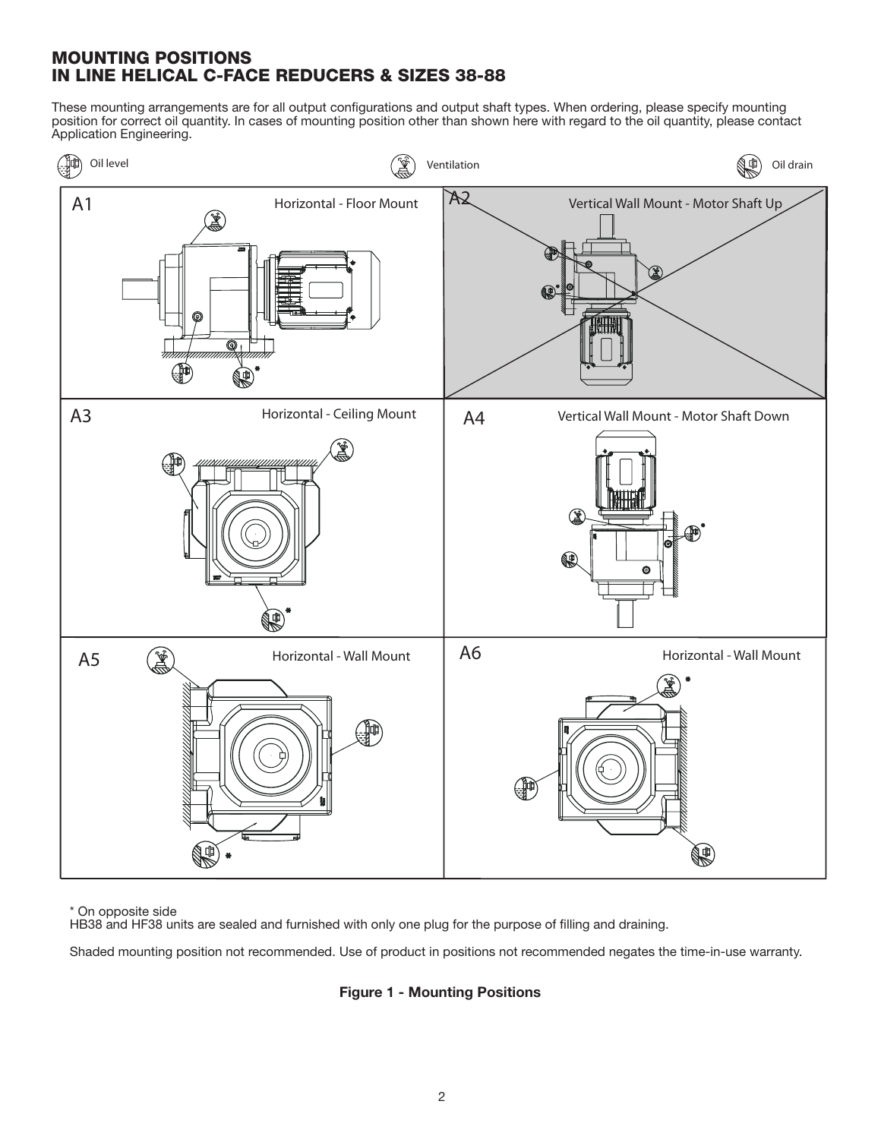# MOUNTING POSITIONS IN LINE HELICAL C-FACE REDUCERS & SIZES 38-88

These mounting arrangements are for all output configurations and output shaft types. When ordering, please specify mounting position for correct oil quantity. In cases of mounting position other than shown here with regard to the oil quantity, please contact Application Engineering.



\* On opposite side

HB38 and HF38 units are sealed and furnished with only one plug for the purpose of filling and draining.

Shaded mounting position not recommended. Use of product in positions not recommended negates the time-in-use warranty.

Figure 1 - Mounting Positions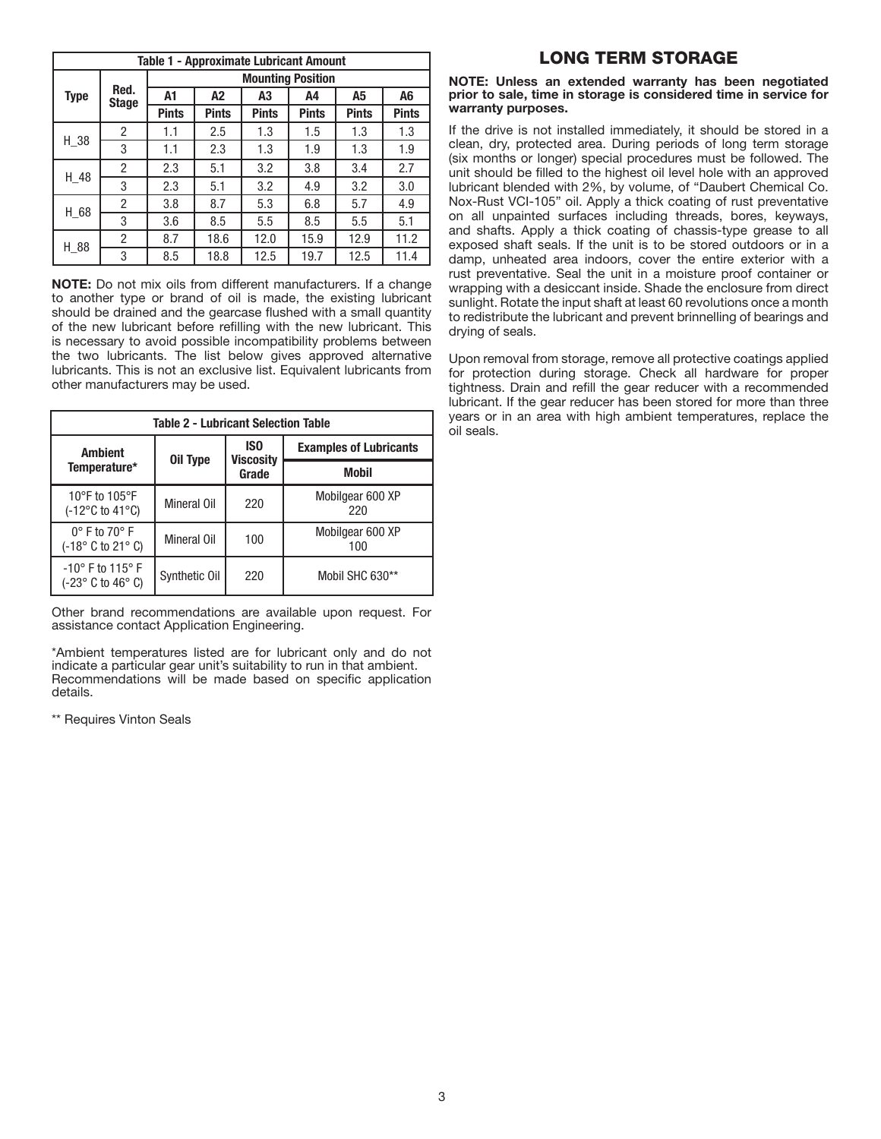| <b>Table 1 - Approximate Lubricant Amount</b> |                      |                          |              |              |              |              |              |  |
|-----------------------------------------------|----------------------|--------------------------|--------------|--------------|--------------|--------------|--------------|--|
|                                               | Red.<br><b>Stage</b> | <b>Mounting Position</b> |              |              |              |              |              |  |
| <b>Type</b>                                   |                      | A1                       | A2           | A3           | A4           | A5           | A6           |  |
|                                               |                      | <b>Pints</b>             | <b>Pints</b> | <b>Pints</b> | <b>Pints</b> | <b>Pints</b> | <b>Pints</b> |  |
|                                               | $\overline{2}$       | 1.1                      | 2.5          | 1.3          | 1.5          | 1.3          | 1.3          |  |
| $H_38$                                        | 3                    | 1.1                      | 2.3          | 1.3          | 1.9          | 1.3          | 1.9          |  |
|                                               | 2                    | 2.3                      | 5.1          | 3.2          | 3.8          | 3.4          | 2.7          |  |
| H 48                                          | 3                    | 2.3                      | 5.1          | 3.2          | 4.9          | 3.2          | 3.0          |  |
| H 68                                          | 2                    | 3.8                      | 8.7          | 5.3          | 6.8          | 5.7          | 4.9          |  |
|                                               | 3                    | 3.6                      | 8.5          | 5.5          | 8.5          | 5.5          | 5.1          |  |
| H_88                                          | 2                    | 8.7                      | 18.6         | 12.0         | 15.9         | 12.9         | 11.2         |  |
|                                               | 3                    | 8.5                      | 18.8         | 12.5         | 19.7         | 12.5         | 11.4         |  |

NOTE: Do not mix oils from different manufacturers. If a change to another type or brand of oil is made, the existing lubricant should be drained and the gearcase flushed with a small quantity of the new lubricant before refilling with the new lubricant. This is necessary to avoid possible incompatibility problems between the two lubricants. The list below gives approved alternative lubricants. This is not an exclusive list. Equivalent lubricants from other manufacturers may be used.

| <b>Table 2 - Lubricant Selection Table</b>                                            |               |                                     |                               |  |  |  |  |
|---------------------------------------------------------------------------------------|---------------|-------------------------------------|-------------------------------|--|--|--|--|
| <b>Ambient</b>                                                                        |               | IS <sub>0</sub><br><b>Viscosity</b> | <b>Examples of Lubricants</b> |  |  |  |  |
| Temperature*                                                                          | Oil Type      | Grade                               | <b>Mobil</b>                  |  |  |  |  |
| 10 $\degree$ F to 105 $\degree$ F<br>(-12°C to 41°C)                                  | Mineral Oil   | 220                                 | Mobilgear 600 XP<br>220       |  |  |  |  |
| $0^\circ$ F to 70 $^\circ$ F<br>$(-18^\circ \text{ C to } 21^\circ \text{ C})$        | Mineral Oil   | 100                                 | Mobilgear 600 XP<br>100       |  |  |  |  |
| $-10^{\circ}$ F to 115 $^{\circ}$ F<br>$(-23^\circ \text{ C to } 46^\circ \text{ C})$ | Synthetic Oil | 220                                 | Mobil SHC 630**               |  |  |  |  |

Other brand recommendations are available upon request. For assistance contact Application Engineering.

\*Ambient temperatures listed are for lubricant only and do not indicate a particular gear unit's suitability to run in that ambient. Recommendations will be made based on specific application details.

\*\* Requires Vinton Seals

# LONG TERM STORAGE

#### NOTE: Unless an extended warranty has been negotiated prior to sale, time in storage is considered time in service for warranty purposes.

If the drive is not installed immediately, it should be stored in a clean, dry, protected area. During periods of long term storage (six months or longer) special procedures must be followed. The unit should be filled to the highest oil level hole with an approved lubricant blended with 2%, by volume, of "Daubert Chemical Co. Nox-Rust VCI-105" oil. Apply a thick coating of rust preventative on all unpainted surfaces including threads, bores, keyways, and shafts. Apply a thick coating of chassis-type grease to all exposed shaft seals. If the unit is to be stored outdoors or in a damp, unheated area indoors, cover the entire exterior with a rust preventative. Seal the unit in a moisture proof container or wrapping with a desiccant inside. Shade the enclosure from direct sunlight. Rotate the input shaft at least 60 revolutions once a month to redistribute the lubricant and prevent brinnelling of bearings and drying of seals.

Upon removal from storage, remove all protective coatings applied for protection during storage. Check all hardware for proper tightness. Drain and refill the gear reducer with a recommended lubricant. If the gear reducer has been stored for more than three years or in an area with high ambient temperatures, replace the oil seals.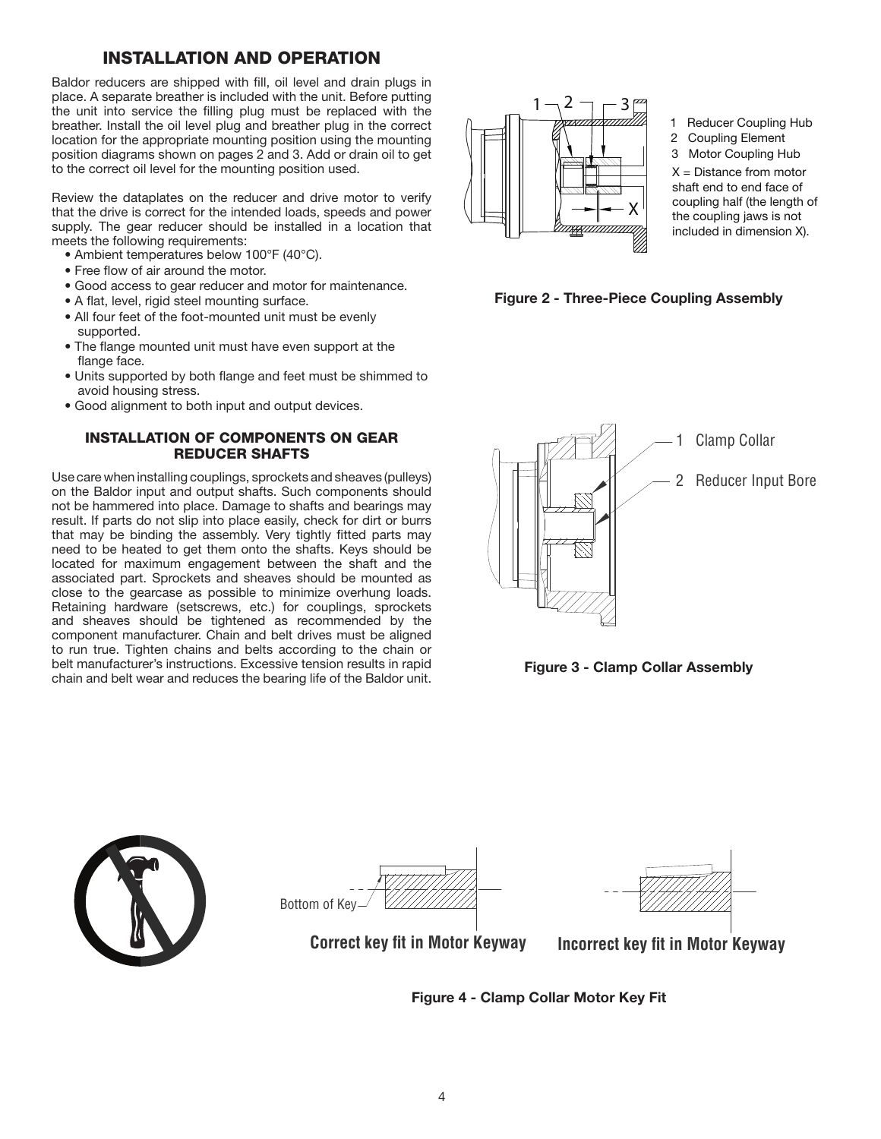# INSTALLATION AND OPERATION

Baldor reducers are shipped with fill, oil level and drain plugs in place. A separate breather is included with the unit. Before putting the unit into service the filling plug must be replaced with the breather. Install the oil level plug and breather plug in the correct location for the appropriate mounting position using the mounting position diagrams shown on pages 2 and 3. Add or drain oil to get to the correct oil level for the mounting position used.

Review the dataplates on the reducer and drive motor to verify that the drive is correct for the intended loads, speeds and power supply. The gear reducer should be installed in a location that meets the following requirements:

- Ambient temperatures below 100°F (40°C).
- Free flow of air around the motor.
- Good access to gear reducer and motor for maintenance.
- A flat, level, rigid steel mounting surface.
- All four feet of the foot-mounted unit must be evenly
- supported. • The flange mounted unit must have even support at the flange face.
- Units supported by both flange and feet must be shimmed to avoid housing stress.
- Good alignment to both input and output devices.

### INSTALLATION OF COMPONENTS ON GEAR REDUCER SHAFTS

Use care when installing couplings, sprockets and sheaves (pulleys) on the Baldor input and output shafts. Such components should not be hammered into place. Damage to shafts and bearings may result. If parts do not slip into place easily, check for dirt or burrs that may be binding the assembly. Very tightly fitted parts may need to be heated to get them onto the shafts. Keys should be located for maximum engagement between the shaft and the associated part. Sprockets and sheaves should be mounted as close to the gearcase as possible to minimize overhung loads. Retaining hardware (setscrews, etc.) for couplings, sprockets and sheaves should be tightened as recommended by the component manufacturer. Chain and belt drives must be aligned to run true. Tighten chains and belts according to the chain or belt manufacturer's instructions. Excessive tension results in rapid chain and belt wear and reduces the bearing life of the Baldor unit.



1 Reducer Coupling Hub 2 Coupling Element 3 Motor Coupling Hub  $X =$  Distance from motor shaft end to end face of coupling half (the length of the coupling jaws is not included in dimension X).

Figure 2 - Three-Piece Coupling Assembly



Figure 3 - Clamp Collar Assembly







**Correct key fit in Motor Keyway Incorrect key fit in Motor Keyway** 

Figure 4 - Clamp Collar Motor Key Fit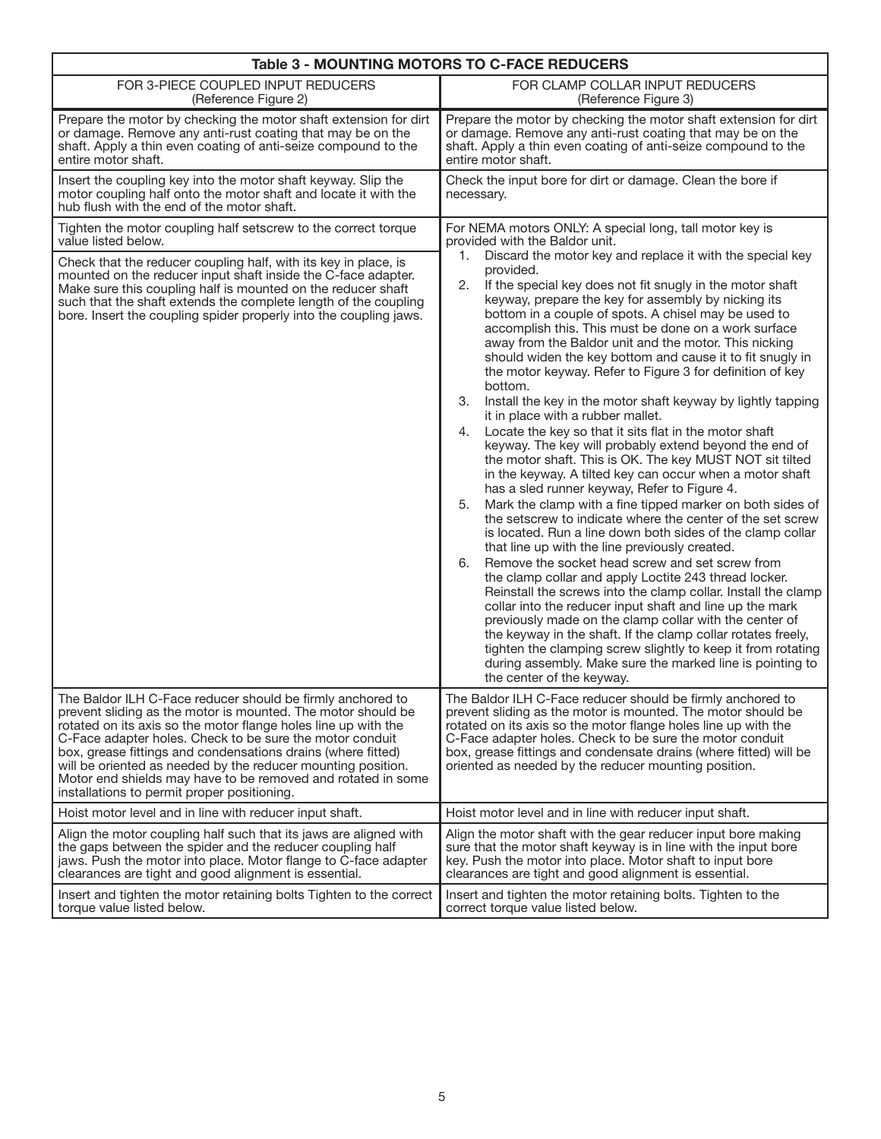| Table 3 - MOUNTING MOTORS TO C-FACE REDUCERS                                                                                                                                                                                                                                                                                                                                                                                                                                                            |                                                                                                                                                                                                                                                                                                                                                                                                                                                                                                                                                                                                                                                                                                                                                                                                                                                                                                                                                                                                                                                                                                                                                                                                                                                                                                                                                                                                                                                                                                                                                                                                                                                                                                                       |  |  |  |
|---------------------------------------------------------------------------------------------------------------------------------------------------------------------------------------------------------------------------------------------------------------------------------------------------------------------------------------------------------------------------------------------------------------------------------------------------------------------------------------------------------|-----------------------------------------------------------------------------------------------------------------------------------------------------------------------------------------------------------------------------------------------------------------------------------------------------------------------------------------------------------------------------------------------------------------------------------------------------------------------------------------------------------------------------------------------------------------------------------------------------------------------------------------------------------------------------------------------------------------------------------------------------------------------------------------------------------------------------------------------------------------------------------------------------------------------------------------------------------------------------------------------------------------------------------------------------------------------------------------------------------------------------------------------------------------------------------------------------------------------------------------------------------------------------------------------------------------------------------------------------------------------------------------------------------------------------------------------------------------------------------------------------------------------------------------------------------------------------------------------------------------------------------------------------------------------------------------------------------------------|--|--|--|
| FOR 3-PIECE COUPLED INPUT REDUCERS                                                                                                                                                                                                                                                                                                                                                                                                                                                                      | FOR CLAMP COLLAR INPUT REDUCERS                                                                                                                                                                                                                                                                                                                                                                                                                                                                                                                                                                                                                                                                                                                                                                                                                                                                                                                                                                                                                                                                                                                                                                                                                                                                                                                                                                                                                                                                                                                                                                                                                                                                                       |  |  |  |
| (Reference Figure 2)                                                                                                                                                                                                                                                                                                                                                                                                                                                                                    | (Reference Figure 3)                                                                                                                                                                                                                                                                                                                                                                                                                                                                                                                                                                                                                                                                                                                                                                                                                                                                                                                                                                                                                                                                                                                                                                                                                                                                                                                                                                                                                                                                                                                                                                                                                                                                                                  |  |  |  |
| Prepare the motor by checking the motor shaft extension for dirt                                                                                                                                                                                                                                                                                                                                                                                                                                        | Prepare the motor by checking the motor shaft extension for dirt                                                                                                                                                                                                                                                                                                                                                                                                                                                                                                                                                                                                                                                                                                                                                                                                                                                                                                                                                                                                                                                                                                                                                                                                                                                                                                                                                                                                                                                                                                                                                                                                                                                      |  |  |  |
| or damage. Remove any anti-rust coating that may be on the                                                                                                                                                                                                                                                                                                                                                                                                                                              | or damage. Remove any anti-rust coating that may be on the                                                                                                                                                                                                                                                                                                                                                                                                                                                                                                                                                                                                                                                                                                                                                                                                                                                                                                                                                                                                                                                                                                                                                                                                                                                                                                                                                                                                                                                                                                                                                                                                                                                            |  |  |  |
| shaft. Apply a thin even coating of anti-seize compound to the                                                                                                                                                                                                                                                                                                                                                                                                                                          | shaft. Apply a thin even coating of anti-seize compound to the                                                                                                                                                                                                                                                                                                                                                                                                                                                                                                                                                                                                                                                                                                                                                                                                                                                                                                                                                                                                                                                                                                                                                                                                                                                                                                                                                                                                                                                                                                                                                                                                                                                        |  |  |  |
| entire motor shaft.                                                                                                                                                                                                                                                                                                                                                                                                                                                                                     | entire motor shaft.                                                                                                                                                                                                                                                                                                                                                                                                                                                                                                                                                                                                                                                                                                                                                                                                                                                                                                                                                                                                                                                                                                                                                                                                                                                                                                                                                                                                                                                                                                                                                                                                                                                                                                   |  |  |  |
| Insert the coupling key into the motor shaft keyway. Slip the<br>motor coupling half onto the motor shaft and locate it with the<br>hub flush with the end of the motor shaft.                                                                                                                                                                                                                                                                                                                          | Check the input bore for dirt or damage. Clean the bore if<br>necessary.                                                                                                                                                                                                                                                                                                                                                                                                                                                                                                                                                                                                                                                                                                                                                                                                                                                                                                                                                                                                                                                                                                                                                                                                                                                                                                                                                                                                                                                                                                                                                                                                                                              |  |  |  |
| Tighten the motor coupling half setscrew to the correct torque                                                                                                                                                                                                                                                                                                                                                                                                                                          | For NEMA motors ONLY: A special long, tall motor key is                                                                                                                                                                                                                                                                                                                                                                                                                                                                                                                                                                                                                                                                                                                                                                                                                                                                                                                                                                                                                                                                                                                                                                                                                                                                                                                                                                                                                                                                                                                                                                                                                                                               |  |  |  |
| value listed below.                                                                                                                                                                                                                                                                                                                                                                                                                                                                                     | provided with the Baldor unit.                                                                                                                                                                                                                                                                                                                                                                                                                                                                                                                                                                                                                                                                                                                                                                                                                                                                                                                                                                                                                                                                                                                                                                                                                                                                                                                                                                                                                                                                                                                                                                                                                                                                                        |  |  |  |
| Check that the reducer coupling half, with its key in place, is<br>mounted on the reducer input shaft inside the C-face adapter.<br>Make sure this coupling half is mounted on the reducer shaft<br>such that the shaft extends the complete length of the coupling<br>bore. Insert the coupling spider properly into the coupling jaws.                                                                                                                                                                | Discard the motor key and replace it with the special key<br>1.<br>provided.<br>2.<br>If the special key does not fit snugly in the motor shaft<br>keyway, prepare the key for assembly by nicking its<br>bottom in a couple of spots. A chisel may be used to<br>accomplish this. This must be done on a work surface<br>away from the Baldor unit and the motor. This nicking<br>should widen the key bottom and cause it to fit snugly in<br>the motor keyway. Refer to Figure 3 for definition of key<br>bottom.<br>Install the key in the motor shaft keyway by lightly tapping<br>3.<br>it in place with a rubber mallet.<br>Locate the key so that it sits flat in the motor shaft<br>4.<br>keyway. The key will probably extend beyond the end of<br>the motor shaft. This is OK. The key MUST NOT sit tilted<br>in the keyway. A tilted key can occur when a motor shaft<br>has a sled runner keyway, Refer to Figure 4.<br>Mark the clamp with a fine tipped marker on both sides of<br>5.<br>the setscrew to indicate where the center of the set screw<br>is located. Run a line down both sides of the clamp collar<br>that line up with the line previously created.<br>Remove the socket head screw and set screw from<br>6.<br>the clamp collar and apply Loctite 243 thread locker.<br>Reinstall the screws into the clamp collar. Install the clamp<br>collar into the reducer input shaft and line up the mark<br>previously made on the clamp collar with the center of<br>the keyway in the shaft. If the clamp collar rotates freely,<br>tighten the clamping screw slightly to keep it from rotating<br>during assembly. Make sure the marked line is pointing to<br>the center of the keyway. |  |  |  |
| The Baldor ILH C-Face reducer should be firmly anchored to<br>prevent sliding as the motor is mounted. The motor should be<br>rotated on its axis so the motor flange holes line up with the<br>C-Face adapter holes. Check to be sure the motor conduit<br>box, grease fittings and condensations drains (where fitted)<br>will be oriented as needed by the reducer mounting position.<br>Motor end shields may have to be removed and rotated in some<br>installations to permit proper positioning. | The Baldor ILH C-Face reducer should be firmly anchored to<br>prevent sliding as the motor is mounted. The motor should be<br>rotated on its axis so the motor flange holes line up with the<br>C-Face adapter holes. Check to be sure the motor conduit<br>box, grease fittings and condensate drains (where fitted) will be<br>oriented as needed by the reducer mounting position.                                                                                                                                                                                                                                                                                                                                                                                                                                                                                                                                                                                                                                                                                                                                                                                                                                                                                                                                                                                                                                                                                                                                                                                                                                                                                                                                 |  |  |  |
| Hoist motor level and in line with reducer input shaft.                                                                                                                                                                                                                                                                                                                                                                                                                                                 | Hoist motor level and in line with reducer input shaft.                                                                                                                                                                                                                                                                                                                                                                                                                                                                                                                                                                                                                                                                                                                                                                                                                                                                                                                                                                                                                                                                                                                                                                                                                                                                                                                                                                                                                                                                                                                                                                                                                                                               |  |  |  |
| Align the motor coupling half such that its jaws are aligned with                                                                                                                                                                                                                                                                                                                                                                                                                                       | Align the motor shaft with the gear reducer input bore making                                                                                                                                                                                                                                                                                                                                                                                                                                                                                                                                                                                                                                                                                                                                                                                                                                                                                                                                                                                                                                                                                                                                                                                                                                                                                                                                                                                                                                                                                                                                                                                                                                                         |  |  |  |
| the gaps between the spider and the reducer coupling half                                                                                                                                                                                                                                                                                                                                                                                                                                               | sure that the motor shaft keyway is in line with the input bore                                                                                                                                                                                                                                                                                                                                                                                                                                                                                                                                                                                                                                                                                                                                                                                                                                                                                                                                                                                                                                                                                                                                                                                                                                                                                                                                                                                                                                                                                                                                                                                                                                                       |  |  |  |
| jaws. Push the motor into place. Motor flange to C-face adapter                                                                                                                                                                                                                                                                                                                                                                                                                                         | key. Push the motor into place. Motor shaft to input bore                                                                                                                                                                                                                                                                                                                                                                                                                                                                                                                                                                                                                                                                                                                                                                                                                                                                                                                                                                                                                                                                                                                                                                                                                                                                                                                                                                                                                                                                                                                                                                                                                                                             |  |  |  |
| clearances are tight and good alignment is essential.                                                                                                                                                                                                                                                                                                                                                                                                                                                   | clearances are tight and good alignment is essential.                                                                                                                                                                                                                                                                                                                                                                                                                                                                                                                                                                                                                                                                                                                                                                                                                                                                                                                                                                                                                                                                                                                                                                                                                                                                                                                                                                                                                                                                                                                                                                                                                                                                 |  |  |  |
| Insert and tighten the motor retaining bolts Tighten to the correct                                                                                                                                                                                                                                                                                                                                                                                                                                     | Insert and tighten the motor retaining bolts. Tighten to the                                                                                                                                                                                                                                                                                                                                                                                                                                                                                                                                                                                                                                                                                                                                                                                                                                                                                                                                                                                                                                                                                                                                                                                                                                                                                                                                                                                                                                                                                                                                                                                                                                                          |  |  |  |
| torque value listed below.                                                                                                                                                                                                                                                                                                                                                                                                                                                                              | correct torque value listed below.                                                                                                                                                                                                                                                                                                                                                                                                                                                                                                                                                                                                                                                                                                                                                                                                                                                                                                                                                                                                                                                                                                                                                                                                                                                                                                                                                                                                                                                                                                                                                                                                                                                                                    |  |  |  |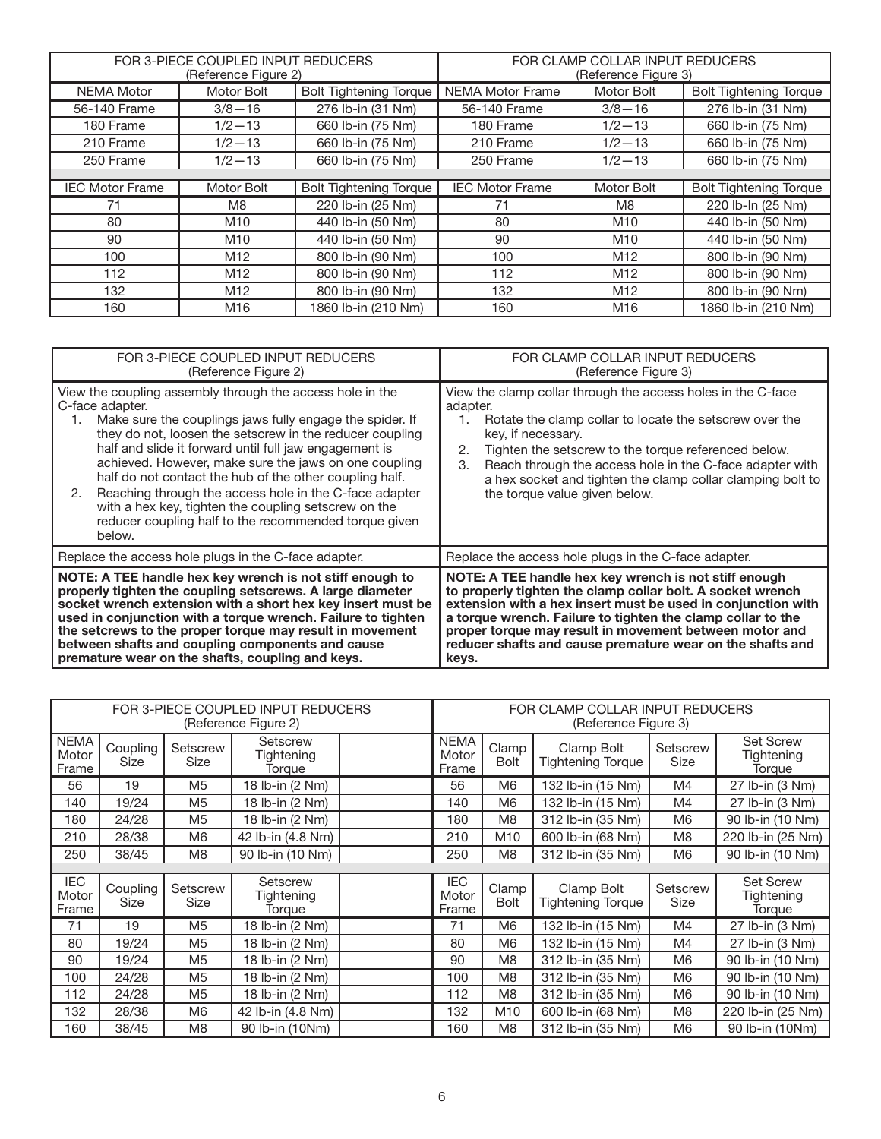|                        | FOR 3-PIECE COUPLED INPUT REDUCERS<br>(Reference Figure 2) |                               | FOR CLAMP COLLAR INPUT REDUCERS<br>(Reference Figure 3) |                 |                               |  |  |
|------------------------|------------------------------------------------------------|-------------------------------|---------------------------------------------------------|-----------------|-------------------------------|--|--|
| <b>NEMA Motor</b>      | Motor Bolt                                                 | <b>Bolt Tightening Torque</b> | <b>NEMA Motor Frame</b>                                 | Motor Bolt      | <b>Bolt Tightening Torque</b> |  |  |
| 56-140 Frame           | $3/8 - 16$                                                 | 276 lb-in (31 Nm)             | 56-140 Frame                                            | $3/8 - 16$      | 276 lb-in (31 Nm)             |  |  |
| 180 Frame              | $1/2 - 13$                                                 | 660 lb-in (75 Nm)             | 180 Frame                                               | $1/2 - 13$      | 660 lb-in (75 Nm)             |  |  |
| 210 Frame              | $1/2 - 13$                                                 | 660 lb-in (75 Nm)             | 210 Frame                                               | $1/2 - 13$      | 660 lb-in (75 Nm)             |  |  |
| 250 Frame              | $1/2 - 13$                                                 | 660 lb-in (75 Nm)             | 250 Frame                                               | $1/2 - 13$      | 660 lb-in (75 Nm)             |  |  |
|                        |                                                            |                               |                                                         |                 |                               |  |  |
| <b>IEC Motor Frame</b> | Motor Bolt                                                 | <b>Bolt Tightening Torque</b> | <b>IEC Motor Frame</b>                                  | Motor Bolt      | <b>Bolt Tightening Torque</b> |  |  |
| 71                     | M8                                                         | 220 lb-in (25 Nm)             | 71                                                      | M8              | 220 lb-ln (25 Nm)             |  |  |
| 80                     | M <sub>10</sub>                                            | 440 lb-in (50 Nm)             | 80                                                      | M <sub>10</sub> | 440 lb-in (50 Nm)             |  |  |
| 90                     | M <sub>10</sub>                                            | 440 lb-in (50 Nm)             | 90                                                      | M <sub>10</sub> | 440 lb-in (50 Nm)             |  |  |
| 100                    | M <sub>12</sub>                                            | 800 lb-in (90 Nm)             | 100                                                     | M12             | 800 lb-in (90 Nm)             |  |  |
| 112                    | M <sub>12</sub>                                            | 800 lb-in (90 Nm)             | 112                                                     | M <sub>12</sub> | 800 lb-in (90 Nm)             |  |  |
| 132                    | M <sub>12</sub>                                            | 800 lb-in (90 Nm)             | 132                                                     | M <sub>12</sub> | 800 lb-in (90 Nm)             |  |  |
| 160                    | M16                                                        | 1860 lb-in (210 Nm)           | 160                                                     | M16             | 1860 lb-in (210 Nm)           |  |  |

| FOR 3-PIECE COUPLED INPUT REDUCERS                                                                                                                                                                                                                                                                                                                                                                                                                                                                                                                                                  | FOR CLAMP COLLAR INPUT REDUCERS                                                                                                                                                                                                                                                                                                                                                                |  |  |
|-------------------------------------------------------------------------------------------------------------------------------------------------------------------------------------------------------------------------------------------------------------------------------------------------------------------------------------------------------------------------------------------------------------------------------------------------------------------------------------------------------------------------------------------------------------------------------------|------------------------------------------------------------------------------------------------------------------------------------------------------------------------------------------------------------------------------------------------------------------------------------------------------------------------------------------------------------------------------------------------|--|--|
| (Reference Figure 2)                                                                                                                                                                                                                                                                                                                                                                                                                                                                                                                                                                | (Reference Figure 3)                                                                                                                                                                                                                                                                                                                                                                           |  |  |
| View the coupling assembly through the access hole in the<br>C-face adapter.<br>Make sure the couplings jaws fully engage the spider. If<br>1.<br>they do not, loosen the setscrew in the reducer coupling<br>half and slide it forward until full jaw engagement is<br>achieved. However, make sure the jaws on one coupling<br>half do not contact the hub of the other coupling half.<br>Reaching through the access hole in the C-face adapter<br>2.<br>with a hex key, tighten the coupling setscrew on the<br>reducer coupling half to the recommended torque given<br>below. | View the clamp collar through the access holes in the C-face<br>adapter.<br>Rotate the clamp collar to locate the setscrew over the<br>1.<br>key, if necessary.<br>2.<br>Tighten the setscrew to the torque referenced below.<br>Reach through the access hole in the C-face adapter with<br>3.<br>a hex socket and tighten the clamp collar clamping bolt to<br>the torque value given below. |  |  |
| Replace the access hole plugs in the C-face adapter.                                                                                                                                                                                                                                                                                                                                                                                                                                                                                                                                | Replace the access hole plugs in the C-face adapter.                                                                                                                                                                                                                                                                                                                                           |  |  |
| NOTE: A TEE handle hex key wrench is not stiff enough to                                                                                                                                                                                                                                                                                                                                                                                                                                                                                                                            | NOTE: A TEE handle hex key wrench is not stiff enough                                                                                                                                                                                                                                                                                                                                          |  |  |
| properly tighten the coupling setscrews. A large diameter                                                                                                                                                                                                                                                                                                                                                                                                                                                                                                                           | to properly tighten the clamp collar bolt. A socket wrench                                                                                                                                                                                                                                                                                                                                     |  |  |
| socket wrench extension with a short hex key insert must be                                                                                                                                                                                                                                                                                                                                                                                                                                                                                                                         | extension with a hex insert must be used in conjunction with                                                                                                                                                                                                                                                                                                                                   |  |  |
| used in conjunction with a torque wrench. Failure to tighten                                                                                                                                                                                                                                                                                                                                                                                                                                                                                                                        | a torque wrench. Failure to tighten the clamp collar to the                                                                                                                                                                                                                                                                                                                                    |  |  |
| the setcrews to the proper torque may result in movement                                                                                                                                                                                                                                                                                                                                                                                                                                                                                                                            | proper torque may result in movement between motor and                                                                                                                                                                                                                                                                                                                                         |  |  |
| between shafts and coupling components and cause                                                                                                                                                                                                                                                                                                                                                                                                                                                                                                                                    | reducer shafts and cause premature wear on the shafts and                                                                                                                                                                                                                                                                                                                                      |  |  |
| premature wear on the shafts, coupling and keys.                                                                                                                                                                                                                                                                                                                                                                                                                                                                                                                                    | keys.                                                                                                                                                                                                                                                                                                                                                                                          |  |  |

| FOR 3-PIECE COUPLED INPUT REDUCERS<br>(Reference Figure 2) |                         |                  | FOR CLAMP COLLAR INPUT REDUCERS<br>(Reference Figure 3) |  |                               |                      |                                        |                         |                                          |
|------------------------------------------------------------|-------------------------|------------------|---------------------------------------------------------|--|-------------------------------|----------------------|----------------------------------------|-------------------------|------------------------------------------|
| <b>NEMA</b><br>Motor<br>Frame                              | Coupling<br>Size        | Setscrew<br>Size | Setscrew<br>Tightening<br>Torque                        |  | <b>NEMA</b><br>Motor<br>Frame | Clamp<br><b>Bolt</b> | Clamp Bolt<br><b>Tightening Torque</b> | Setscrew<br><b>Size</b> | <b>Set Screw</b><br>Tightening<br>Torque |
| 56                                                         | 19                      | M <sub>5</sub>   | 18 lb-in (2 Nm)                                         |  | 56                            | M <sub>6</sub>       | 132 lb-in (15 Nm)                      | M4                      | 27 lb-in (3 Nm)                          |
| 140                                                        | 19/24                   | M <sub>5</sub>   | 18 lb-in (2 Nm)                                         |  | 140                           | M <sub>6</sub>       | 132 lb-in (15 Nm)                      | M4                      | 27 lb-in (3 Nm)                          |
| 180                                                        | 24/28                   | M <sub>5</sub>   | 18 lb-in (2 Nm)                                         |  | 180                           | M <sub>8</sub>       | 312 lb-in (35 Nm)                      | M <sub>6</sub>          | 90 lb-in (10 Nm)                         |
| 210                                                        | 28/38                   | M <sub>6</sub>   | 42 lb-in (4.8 Nm)                                       |  | 210                           | M10                  | 600 lb-in (68 Nm)                      | M <sub>8</sub>          | 220 lb-in (25 Nm)                        |
| 250                                                        | 38/45                   | M <sub>8</sub>   | 90 lb-in (10 Nm)                                        |  | 250                           | M <sub>8</sub>       | 312 lb-in (35 Nm)                      | M <sub>6</sub>          | 90 lb-in (10 Nm)                         |
|                                                            |                         |                  |                                                         |  |                               |                      |                                        |                         |                                          |
| IEC<br>Motor<br>Frame                                      | Coupling<br><b>Size</b> | Setscrew<br>Size | Setscrew<br>Tightening<br>Torque                        |  | <b>IEC</b><br>Motor<br>Frame  | Clamp<br><b>Bolt</b> | Clamp Bolt<br><b>Tightening Torque</b> | Setscrew<br><b>Size</b> | <b>Set Screw</b><br>Tightening<br>Torque |
| 71                                                         | 19                      | M <sub>5</sub>   | 18 lb-in (2 Nm)                                         |  | 71                            | M <sub>6</sub>       | 132 lb-in (15 Nm)                      | M4                      | 27 lb-in (3 Nm)                          |
| 80                                                         | 19/24                   | M <sub>5</sub>   | 18 lb-in (2 Nm)                                         |  | 80                            | M <sub>6</sub>       | 132 lb-in (15 Nm)                      | M4                      | 27 lb-in (3 Nm)                          |
| 90                                                         | 19/24                   | M <sub>5</sub>   | 18 lb-in (2 Nm)                                         |  | 90                            | M <sub>8</sub>       | 312 lb-in (35 Nm)                      | M <sub>6</sub>          | 90 lb-in (10 Nm)                         |
| 100                                                        | 24/28                   | M <sub>5</sub>   | 18 lb-in (2 Nm)                                         |  | 100                           | M <sub>8</sub>       | 312 lb-in (35 Nm)                      | M <sub>6</sub>          | 90 lb-in (10 Nm)                         |
| 112                                                        | 24/28                   | M <sub>5</sub>   | 18 lb-in (2 Nm)                                         |  | 112                           | M <sub>8</sub>       | 312 lb-in (35 Nm)                      | M <sub>6</sub>          | 90 lb-in (10 Nm)                         |
| 132                                                        | 28/38                   | M6               | 42 lb-in (4.8 Nm)                                       |  | 132                           | M10                  | 600 lb-in (68 Nm)                      | M <sub>8</sub>          | 220 lb-in (25 Nm)                        |
| 160                                                        | 38/45                   | M <sub>8</sub>   | 90 lb-in (10Nm)                                         |  | 160                           | M <sub>8</sub>       | 312 lb-in (35 Nm)                      | M <sub>6</sub>          | 90 lb-in (10Nm)                          |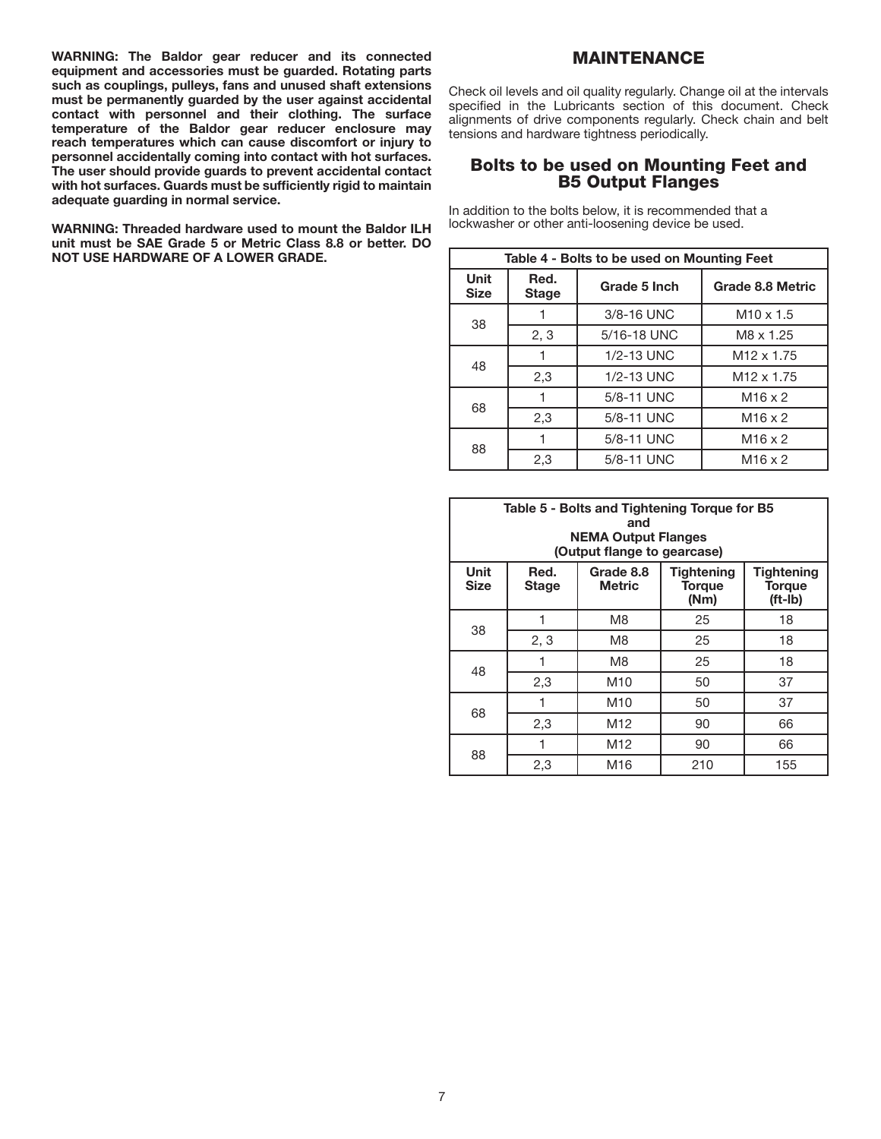WARNING: The Baldor gear reducer and its connected equipment and accessories must be guarded. Rotating parts such as couplings, pulleys, fans and unused shaft extensions must be permanently guarded by the user against accidental contact with personnel and their clothing. The surface temperature of the Baldor gear reducer enclosure may reach temperatures which can cause discomfort or injury to personnel accidentally coming into contact with hot surfaces. The user should provide guards to prevent accidental contact with hot surfaces. Guards must be sufficiently rigid to maintain adequate guarding in normal service.

WARNING: Threaded hardware used to mount the Baldor ILH unit must be SAE Grade 5 or Metric Class 8.8 or better. DO NOT USE HARDWARE OF A LOWER GRADE.

# MAINTENANCE

Check oil levels and oil quality regularly. Change oil at the intervals specified in the Lubricants section of this document. Check alignments of drive components regularly. Check chain and belt tensions and hardware tightness periodically.

## Bolts to be used on Mounting Feet and B5 Output Flanges

In addition to the bolts below, it is recommended that a lockwasher or other anti-loosening device be used.

| Table 4 - Bolts to be used on Mounting Feet |                      |              |                        |  |  |  |
|---------------------------------------------|----------------------|--------------|------------------------|--|--|--|
| <b>Unit</b><br><b>Size</b>                  | Red.<br><b>Stage</b> | Grade 5 Inch | Grade 8.8 Metric       |  |  |  |
| 38                                          |                      | 3/8-16 UNC   | $M10 \times 1.5$       |  |  |  |
|                                             | 2, 3                 | 5/16-18 UNC  | M8 x 1.25              |  |  |  |
| 48                                          |                      | 1/2-13 UNC   | M <sub>12</sub> x 1.75 |  |  |  |
|                                             | 2,3                  | 1/2-13 UNC   | M <sub>12</sub> x 1.75 |  |  |  |
| 68                                          |                      | 5/8-11 UNC   | $M16 \times 2$         |  |  |  |
|                                             | 2,3                  | 5/8-11 UNC   | $M16 \times 2$         |  |  |  |
| 88                                          |                      | 5/8-11 UNC   | $M16 \times 2$         |  |  |  |
|                                             | 2,3                  | 5/8-11 UNC   | $M16 \times 2$         |  |  |  |

| Table 5 - Bolts and Tightening Torque for B5<br>and<br><b>NEMA Output Flanges</b><br>(Output flange to gearcase) |                                                                                                                                                     |                 |     |     |  |  |
|------------------------------------------------------------------------------------------------------------------|-----------------------------------------------------------------------------------------------------------------------------------------------------|-----------------|-----|-----|--|--|
| <b>Unit</b><br><b>Size</b>                                                                                       | <b>Tightening</b><br>Grade 8.8<br><b>Tightening</b><br>Red.<br><b>Metric</b><br><b>Torque</b><br><b>Stage</b><br><b>Torque</b><br>(Nm)<br>$(ft-lb)$ |                 |     |     |  |  |
| 38                                                                                                               | 1                                                                                                                                                   | M8              | 25  | 18  |  |  |
|                                                                                                                  | 2, 3                                                                                                                                                | M8              | 25  | 18  |  |  |
| 48                                                                                                               |                                                                                                                                                     | M8              | 25  | 18  |  |  |
|                                                                                                                  | 2,3                                                                                                                                                 | M10             | 50  | 37  |  |  |
| 68                                                                                                               |                                                                                                                                                     | M10             | 50  | 37  |  |  |
|                                                                                                                  | 2,3                                                                                                                                                 | M <sub>12</sub> | 90  | 66  |  |  |
| 88                                                                                                               |                                                                                                                                                     | M <sub>12</sub> | 90  | 66  |  |  |
|                                                                                                                  | 2,3                                                                                                                                                 | M16             | 210 | 155 |  |  |